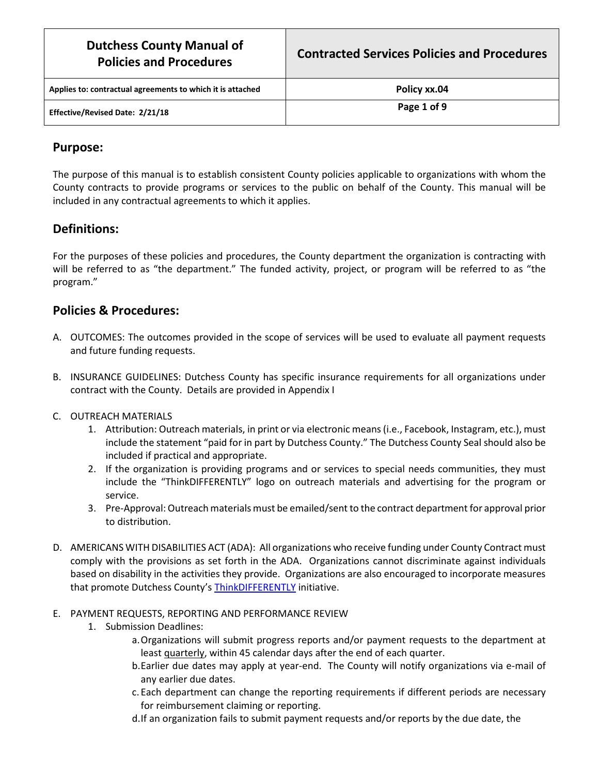| <b>Dutchess County Manual of</b><br><b>Policies and Procedures</b> | <b>Contracted Services Policies and Procedures</b> |
|--------------------------------------------------------------------|----------------------------------------------------|
| Applies to: contractual agreements to which it is attached         | Policy xx.04                                       |
| Effective/Revised Date: 2/21/18                                    | Page 1 of 9                                        |

## **Purpose:**

The purpose of this manual is to establish consistent County policies applicable to organizations with whom the County contracts to provide programs or services to the public on behalf of the County. This manual will be included in any contractual agreements to which it applies.

## **Definitions:**

For the purposes of these policies and procedures, the County department the organization is contracting with will be referred to as "the department." The funded activity, project, or program will be referred to as "the program."

## **Policies & Procedures:**

- A. OUTCOMES: The outcomes provided in the scope of services will be used to evaluate all payment requests and future funding requests.
- B. INSURANCE GUIDELINES: Dutchess County has specific insurance requirements for all organizations under contract with the County. Details are provided in Appendix I
- C. OUTREACH MATERIALS
	- 1. Attribution: Outreach materials, in print or via electronic means (i.e., Facebook, Instagram, etc.), must include the statement "paid for in part by Dutchess County." The Dutchess County Seal should also be included if practical and appropriate.
	- 2. If the organization is providing programs and or services to special needs communities, they must include the "ThinkDIFFERENTLY" logo on outreach materials and advertising for the program or service.
	- 3. Pre-Approval: Outreach materials must be emailed/sent to the contract department for approval prior to distribution.
- D. AMERICANS WITH DISABILITIES ACT (ADA): All organizations who receive funding under County Contract must comply with the provisions as set forth in the ADA. Organizations cannot discriminate against individuals based on disability in the activities they provide. Organizations are also encouraged to incorporate measures that promote Dutchess County's [ThinkDIFFERENTLY](http://www.co.dutchess.ny.us/CountyGov/27438.htm) initiative.
- E. PAYMENT REQUESTS, REPORTING AND PERFORMANCE REVIEW
	- 1. Submission Deadlines:
		- a.Organizations will submit progress reports and/or payment requests to the department at least quarterly, within 45 calendar days after the end of each quarter.
		- b.Earlier due dates may apply at year-end. The County will notify organizations via e-mail of any earlier due dates.
		- c. Each department can change the reporting requirements if different periods are necessary for reimbursement claiming or reporting.
		- d.If an organization fails to submit payment requests and/or reports by the due date, the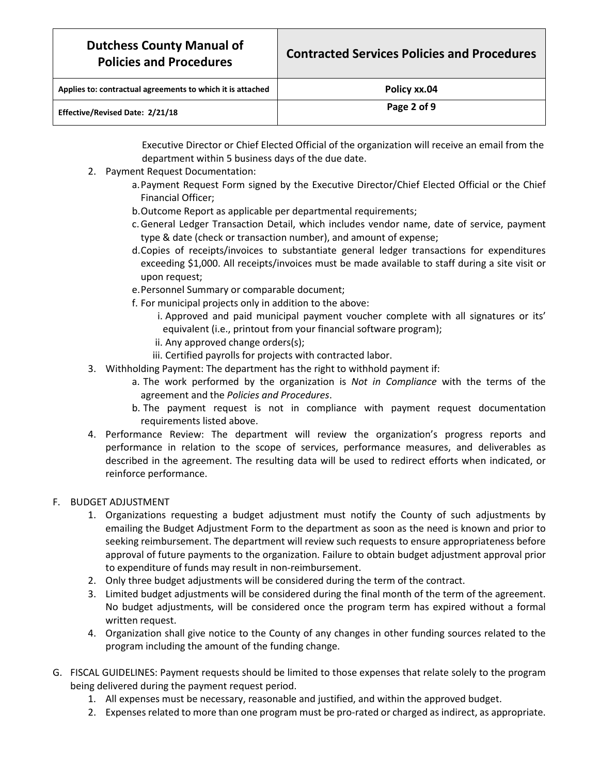| Applies to: contractual agreements to which it is attached | Policy xx.04 |
|------------------------------------------------------------|--------------|
| Effective/Revised Date: 2/21/18                            | Page 2 of 9  |

 Executive Director or Chief Elected Official of the organization will receive an email from the department within 5 business days of the due date.

- 2. Payment Request Documentation:
	- a.Payment Request Form signed by the Executive Director/Chief Elected Official or the Chief Financial Officer;
	- b.Outcome Report as applicable per departmental requirements;
	- c.General Ledger Transaction Detail, which includes vendor name, date of service, payment type & date (check or transaction number), and amount of expense;
	- d.Copies of receipts/invoices to substantiate general ledger transactions for expenditures exceeding \$1,000. All receipts/invoices must be made available to staff during a site visit or upon request;
	- e[.Personnel Summary](http://www.co.dutchess.ny.us/CountyGov/Departments/Planning/CIP_Personnel_Summary.xlsx) or comparable document;
	- f. For municipal projects only in addition to the above:
		- i. Approved and paid municipal payment voucher complete with all signatures or its' equivalent (i.e., printout from your financial software program);
		- ii. Any approved change orders(s);
		- iii. Certified payrolls for projects with contracted labor.
- 3. Withholding Payment: The department has the right to withhold payment if:
	- a. The work performed by the organization is *Not in Compliance* with the terms of the agreement and the *Policies and Procedures*.
	- b. The payment request is not in compliance with payment request documentation requirements listed above.
- 4. Performance Review: The department will review the organization's progress reports and performance in relation to the scope of services, performance measures, and deliverables as described in the agreement. The resulting data will be used to redirect efforts when indicated, or reinforce performance.

### F. BUDGET ADJUSTMENT

- 1. Organizations requesting a budget adjustment must notify the County of such adjustments by emailing the Budget Adjustment Form to the department as soon as the need is known and prior to seeking reimbursement. The department will review such requests to ensure appropriateness before approval of future payments to the organization. Failure to obtain budget adjustment approval prior to expenditure of funds may result in non-reimbursement.
- 2. Only three budget adjustments will be considered during the term of the contract.
- 3. Limited budget adjustments will be considered during the final month of the term of the agreement. No budget adjustments, will be considered once the program term has expired without a formal written request.
- 4. Organization shall give notice to the County of any changes in other funding sources related to the program including the amount of the funding change.
- G. FISCAL GUIDELINES: Payment requests should be limited to those expenses that relate solely to the program being delivered during the payment request period.
	- 1. All expenses must be necessary, reasonable and justified, and within the approved budget.
	- 2. Expenses related to more than one program must be pro-rated or charged as indirect, as appropriate.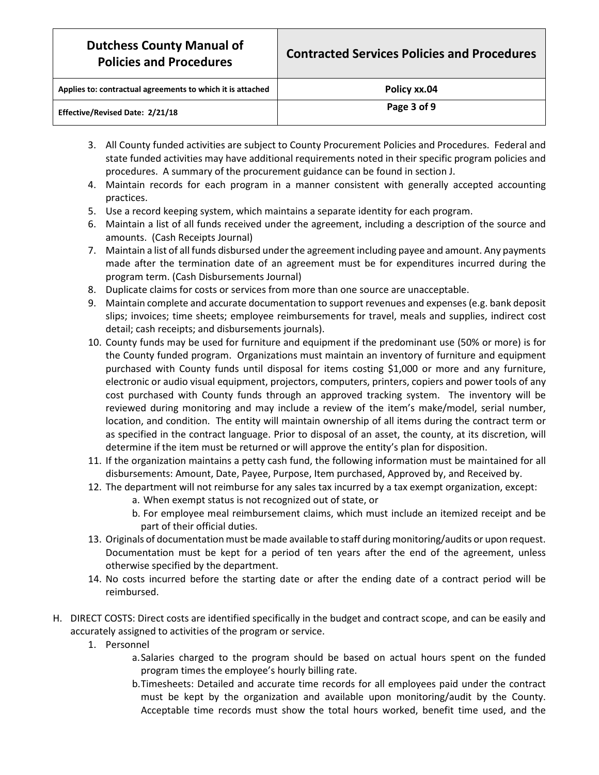| Applies to: contractual agreements to which it is attached | Policy xx.04 |
|------------------------------------------------------------|--------------|
| Effective/Revised Date: 2/21/18                            | Page 3 of 9  |

- 3. All County funded activities are subject to County Procurement Policies and Procedures. Federal and state funded activities may have additional requirements noted in their specific program policies and procedures. A summary of the procurement guidance can be found in section J.
- 4. Maintain records for each program in a manner consistent with generally accepted accounting practices.
- 5. Use a record keeping system, which maintains a separate identity for each program.
- 6. Maintain a list of all funds received under the agreement, including a description of the source and amounts. (Cash Receipts Journal)
- 7. Maintain a list of all funds disbursed under the agreement including payee and amount. Any payments made after the termination date of an agreement must be for expenditures incurred during the program term. (Cash Disbursements Journal)
- 8. Duplicate claims for costs or services from more than one source are unacceptable.
- 9. Maintain complete and accurate documentation to support revenues and expenses (e.g. bank deposit slips; invoices; time sheets; employee reimbursements for travel, meals and supplies, indirect cost detail; cash receipts; and disbursements journals).
- 10. County funds may be used for furniture and equipment if the predominant use (50% or more) is for the County funded program. Organizations must maintain an inventory of furniture and equipment purchased with County funds until disposal for items costing \$1,000 or more and any furniture, electronic or audio visual equipment, projectors, computers, printers, copiers and power tools of any cost purchased with County funds through an approved tracking system. The inventory will be reviewed during monitoring and may include a review of the item's make/model, serial number, location, and condition. The entity will maintain ownership of all items during the contract term or as specified in the contract language. Prior to disposal of an asset, the county, at its discretion, will determine if the item must be returned or will approve the entity's plan for disposition.
- 11. If the organization maintains a petty cash fund, the following information must be maintained for all disbursements: Amount, Date, Payee, Purpose, Item purchased, Approved by, and Received by.
- 12. The department will not reimburse for any sales tax incurred by a tax exempt organization, except:
	- a. When exempt status is not recognized out of state, or
	- b. For employee meal reimbursement claims, which must include an itemized receipt and be part of their official duties.
- 13. Originals of documentation must be made available to staff during monitoring/audits or upon request. Documentation must be kept for a period of ten years after the end of the agreement, unless otherwise specified by the department.
- 14. No costs incurred before the starting date or after the ending date of a contract period will be reimbursed.
- H. DIRECT COSTS: Direct costs are identified specifically in the budget and contract scope, and can be easily and accurately assigned to activities of the program or service.
	- 1. Personnel
		- a.Salaries charged to the program should be based on actual hours spent on the funded program times the employee's hourly billing rate.
		- b.Timesheets: Detailed and accurate time records for all employees paid under the contract must be kept by the organization and available upon monitoring/audit by the County. Acceptable time records must show the total hours worked, benefit time used, and the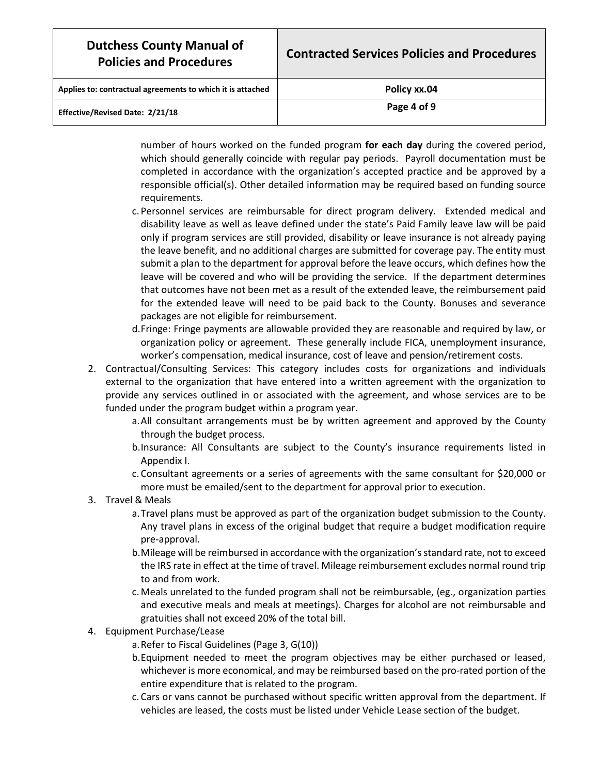| <b>Dutchess County Manual of</b><br><b>Policies and Procedures</b> | <b>Contracted Services Policies and Procedures</b> |
|--------------------------------------------------------------------|----------------------------------------------------|
| Applies to: contractual agreements to which it is attached         | Policy xx.04                                       |
| Effective/Revised Date: 2/21/18                                    | Page 4 of 9                                        |

number of hours worked on the funded program **for each day** during the covered period, which should generally coincide with regular pay periods. Payroll documentation must be completed in accordance with the organization's accepted practice and be approved by a responsible official(s). Other detailed information may be required based on funding source requirements.

- c. Personnel services are reimbursable for direct program delivery. Extended medical and disability leave as well as leave defined under the state's Paid Family leave law will be paid only if program services are still provided, disability or leave insurance is not already paying the leave benefit, and no additional charges are submitted for coverage pay. The entity must submit a plan to the department for approval before the leave occurs, which defines how the leave will be covered and who will be providing the service. If the department determines that outcomes have not been met as a result of the extended leave, the reimbursement paid for the extended leave will need to be paid back to the County. Bonuses and severance packages are not eligible for reimbursement.
- d.Fringe: Fringe payments are allowable provided they are reasonable and required by law, or organization policy or agreement. These generally include FICA, unemployment insurance, worker's compensation, medical insurance, cost of leave and pension/retirement costs.
- 2. Contractual/Consulting Services: This category includes costs for organizations and individuals external to the organization that have entered into a written agreement with the organization to provide any services outlined in or associated with the agreement, and whose services are to be funded under the program budget within a program year.
	- a.All consultant arrangements must be by written agreement and approved by the County through the budget process.
	- b.Insurance: All Consultants are subject to the County's insurance requirements listed in Appendix I.
	- c. Consultant agreements or a series of agreements with the same consultant for \$20,000 or more must be emailed/sent to the department for approval prior to execution.
- 3. Travel & Meals
	- a.Travel plans must be approved as part of the organization budget submission to the County. Any travel plans in excess of the original budget that require a budget modification require pre-approval.
	- b.Mileage will be reimbursed in accordance with the organization's standard rate, not to exceed the IRS rate in effect at the time of travel. Mileage reimbursement excludes normal round trip to and from work.
	- c.Meals unrelated to the funded program shall not be reimbursable, (eg., organization parties and executive meals and meals at meetings). Charges for alcohol are not reimbursable and gratuities shall not exceed 20% of the total bill.
- 4. Equipment Purchase/Lease
	- a.Refer to Fiscal Guidelines (Page 3, G(10))
	- b.Equipment needed to meet the program objectives may be either purchased or leased, whichever is more economical, and may be reimbursed based on the pro-rated portion of the entire expenditure that is related to the program.
	- c. Cars or vans cannot be purchased without specific written approval from the department. If vehicles are leased, the costs must be listed under Vehicle Lease section of the budget.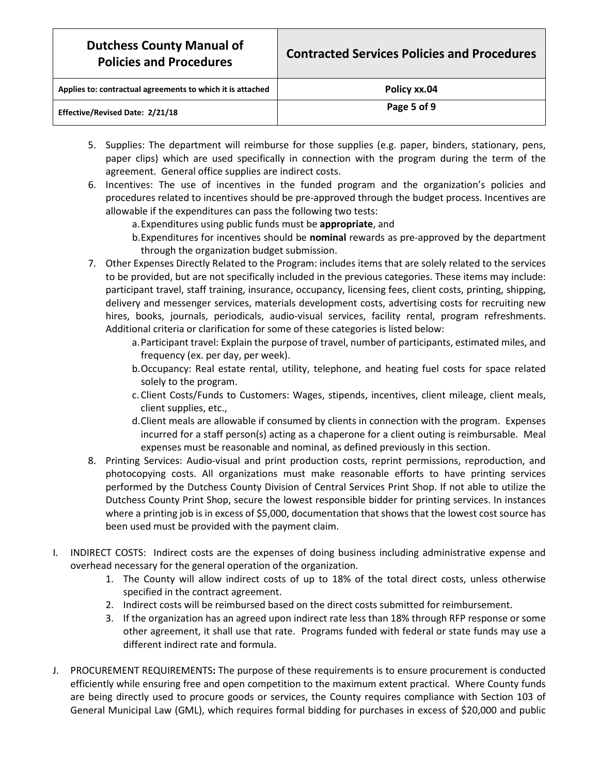| <b>Dutchess County Manual of</b><br><b>Policies and Procedures</b> | <b>Contracted Services Policies and Procedures</b> |
|--------------------------------------------------------------------|----------------------------------------------------|
| Applies to: contractual agreements to which it is attached         | Policy xx.04                                       |
| Effective/Revised Date: 2/21/18                                    | Page 5 of 9                                        |

- 5. Supplies: The department will reimburse for those supplies (e.g. paper, binders, stationary, pens, paper clips) which are used specifically in connection with the program during the term of the agreement. General office supplies are indirect costs.
- 6. Incentives: The use of incentives in the funded program and the organization's policies and procedures related to incentives should be pre-approved through the budget process. Incentives are allowable if the expenditures can pass the following two tests:
	- a.Expenditures using public funds must be **appropriate**, and
	- b.Expenditures for incentives should be **nominal** rewards as pre-approved by the department through the organization budget submission.
- 7. Other Expenses Directly Related to the Program: includes items that are solely related to the services to be provided, but are not specifically included in the previous categories. These items may include: participant travel, staff training, insurance, occupancy, licensing fees, client costs, printing, shipping, delivery and messenger services, materials development costs, advertising costs for recruiting new hires, books, journals, periodicals, audio-visual services, facility rental, program refreshments. Additional criteria or clarification for some of these categories is listed below:
	- a.Participant travel: Explain the purpose of travel, number of participants, estimated miles, and frequency (ex. per day, per week).
	- b.Occupancy: Real estate rental, utility, telephone, and heating fuel costs for space related solely to the program.
	- c. Client Costs/Funds to Customers: Wages, stipends, incentives, client mileage, client meals, client supplies, etc.,
	- d.Client meals are allowable if consumed by clients in connection with the program. Expenses incurred for a staff person(s) acting as a chaperone for a client outing is reimbursable. Meal expenses must be reasonable and nominal, as defined previously in this section.
- 8. Printing Services: Audio-visual and print production costs, reprint permissions, reproduction, and photocopying costs. All organizations must make reasonable efforts to have printing services performed by the Dutchess County Division of Central Services Print Shop. If not able to utilize the Dutchess County Print Shop, secure the lowest responsible bidder for printing services. In instances where a printing job is in excess of \$5,000, documentation that shows that the lowest cost source has been used must be provided with the payment claim.
- I. INDIRECT COSTS: Indirect costs are the expenses of doing business including administrative expense and overhead necessary for the general operation of the organization.
	- 1. The County will allow indirect costs of up to 18% of the total direct costs, unless otherwise specified in the contract agreement.
	- 2. Indirect costs will be reimbursed based on the direct costs submitted for reimbursement.
	- 3. If the organization has an agreed upon indirect rate less than 18% through RFP response or some other agreement, it shall use that rate. Programs funded with federal or state funds may use a different indirect rate and formula.
- J. PROCUREMENT REQUIREMENTS**:** The purpose of these requirements is to ensure procurement is conducted efficiently while ensuring free and open competition to the maximum extent practical. Where County funds are being directly used to procure goods or services, the County requires compliance with Section 103 of General Municipal Law (GML), which requires formal bidding for purchases in excess of \$20,000 and public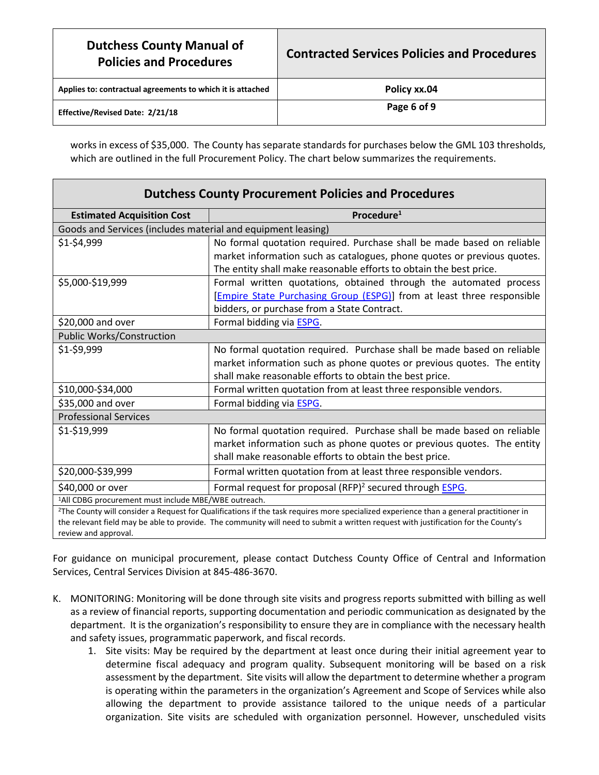| <b>Dutchess County Manual of</b><br><b>Policies and Procedures</b> | <b>Contracted Services Policies and Procedures</b> |
|--------------------------------------------------------------------|----------------------------------------------------|
| Applies to: contractual agreements to which it is attached         | Policy xx.04                                       |
| Effective/Revised Date: 2/21/18                                    | Page 6 of 9                                        |

works in excess of \$35,000. The County has separate standards for purchases below the GML 103 thresholds, which are outlined in the full Procurement Policy. The chart below summarizes the requirements.

| <b>Dutchess County Procurement Policies and Procedures</b>                                                                                                 |                                                                              |  |
|------------------------------------------------------------------------------------------------------------------------------------------------------------|------------------------------------------------------------------------------|--|
| <b>Estimated Acquisition Cost</b>                                                                                                                          | Procedure <sup>1</sup>                                                       |  |
| Goods and Services (includes material and equipment leasing)                                                                                               |                                                                              |  |
| \$1-\$4,999                                                                                                                                                | No formal quotation required. Purchase shall be made based on reliable       |  |
|                                                                                                                                                            | market information such as catalogues, phone quotes or previous quotes.      |  |
|                                                                                                                                                            | The entity shall make reasonable efforts to obtain the best price.           |  |
| \$5,000-\$19,999                                                                                                                                           | Formal written quotations, obtained through the automated process            |  |
|                                                                                                                                                            | [Empire State Purchasing Group (ESPG)] from at least three responsible       |  |
|                                                                                                                                                            | bidders, or purchase from a State Contract.                                  |  |
| \$20,000 and over                                                                                                                                          | Formal bidding via <b>ESPG</b> .                                             |  |
| Public Works/Construction                                                                                                                                  |                                                                              |  |
| \$1-\$9,999                                                                                                                                                | No formal quotation required. Purchase shall be made based on reliable       |  |
|                                                                                                                                                            | market information such as phone quotes or previous quotes. The entity       |  |
|                                                                                                                                                            | shall make reasonable efforts to obtain the best price.                      |  |
| \$10,000-\$34,000                                                                                                                                          | Formal written quotation from at least three responsible vendors.            |  |
| \$35,000 and over                                                                                                                                          | Formal bidding via <b>ESPG</b> .                                             |  |
| <b>Professional Services</b>                                                                                                                               |                                                                              |  |
| \$1-\$19,999                                                                                                                                               | No formal quotation required. Purchase shall be made based on reliable       |  |
|                                                                                                                                                            | market information such as phone quotes or previous quotes. The entity       |  |
|                                                                                                                                                            | shall make reasonable efforts to obtain the best price.                      |  |
| \$20,000-\$39,999                                                                                                                                          | Formal written quotation from at least three responsible vendors.            |  |
| \$40,000 or over                                                                                                                                           | Formal request for proposal (RFP) <sup>2</sup> secured through <b>ESPG</b> . |  |
| <sup>1</sup> All CDBG procurement must include MBE/WBE outreach.                                                                                           |                                                                              |  |
| <sup>2</sup> The County will consider a Request for Qualifications if the task requires more specialized experience than a general practitioner in         |                                                                              |  |
| the relevant field may be able to provide. The community will need to submit a written request with justification for the County's<br>review and approval. |                                                                              |  |
|                                                                                                                                                            |                                                                              |  |

For guidance on municipal procurement, please contact Dutchess County Office of Central and Information Services, Central Services Division at 845-486-3670.

- K. MONITORING: Monitoring will be done through site visits and progress reports submitted with billing as well as a review of financial reports, supporting documentation and periodic communication as designated by the department. It is the organization's responsibility to ensure they are in compliance with the necessary health and safety issues, programmatic paperwork, and fiscal records.
	- 1. Site visits: May be required by the department at least once during their initial agreement year to determine fiscal adequacy and program quality. Subsequent monitoring will be based on a risk assessment by the department. Site visits will allow the department to determine whether a program is operating within the parameters in the organization's Agreement and Scope of Services while also allowing the department to provide assistance tailored to the unique needs of a particular organization. Site visits are scheduled with organization personnel. However, unscheduled visits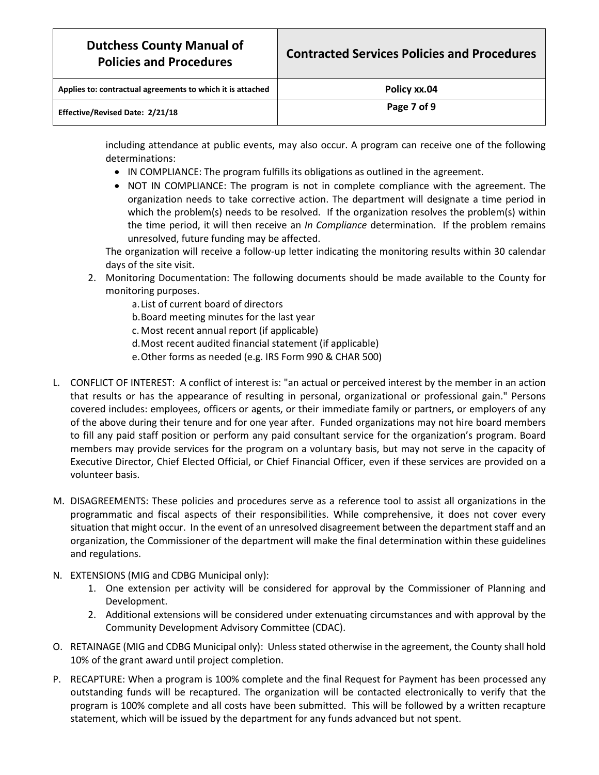| <b>Dutchess County Manual of</b><br><b>Policies and Procedures</b> | <b>Contracted Services Policies and Procedures</b> |
|--------------------------------------------------------------------|----------------------------------------------------|
| Applies to: contractual agreements to which it is attached         | Policy xx.04                                       |
| Effective/Revised Date: 2/21/18                                    | Page 7 of 9                                        |

including attendance at public events, may also occur. A program can receive one of the following determinations:

- IN COMPLIANCE: The program fulfills its obligations as outlined in the agreement.
- NOT IN COMPLIANCE: The program is not in complete compliance with the agreement. The organization needs to take corrective action. The department will designate a time period in which the problem(s) needs to be resolved. If the organization resolves the problem(s) within the time period, it will then receive an *In Compliance* determination. If the problem remains unresolved, future funding may be affected.

The organization will receive a follow-up letter indicating the monitoring results within 30 calendar days of the site visit.

- 2. Monitoring Documentation: The following documents should be made available to the County for monitoring purposes.
	- a.List of current board of directors
	- b.Board meeting minutes for the last year
	- c.Most recent annual report (if applicable)
	- d.Most recent audited financial statement (if applicable)
	- e.Other forms as needed (e.g. IRS Form 990 & CHAR 500)
- L. CONFLICT OF INTEREST: A conflict of interest is: "an actual or perceived interest by the member in an action that results or has the appearance of resulting in personal, organizational or professional gain." Persons covered includes: employees, officers or agents, or their immediate family or partners, or employers of any of the above during their tenure and for one year after. Funded organizations may not hire board members to fill any paid staff position or perform any paid consultant service for the organization's program. Board members may provide services for the program on a voluntary basis, but may not serve in the capacity of Executive Director, Chief Elected Official, or Chief Financial Officer, even if these services are provided on a volunteer basis.
- M. DISAGREEMENTS: These policies and procedures serve as a reference tool to assist all organizations in the programmatic and fiscal aspects of their responsibilities. While comprehensive, it does not cover every situation that might occur. In the event of an unresolved disagreement between the department staff and an organization, the Commissioner of the department will make the final determination within these guidelines and regulations.
- N. EXTENSIONS (MIG and CDBG Municipal only):
	- 1. One extension per activity will be considered for approval by the Commissioner of Planning and Development.
	- 2. Additional extensions will be considered under extenuating circumstances and with approval by the Community Development Advisory Committee (CDAC).
- O. RETAINAGE (MIG and CDBG Municipal only): Unless stated otherwise in the agreement, the County shall hold 10% of the grant award until project completion.
- P. RECAPTURE: When a program is 100% complete and the final Request for Payment has been processed any outstanding funds will be recaptured. The organization will be contacted electronically to verify that the program is 100% complete and all costs have been submitted. This will be followed by a written recapture statement, which will be issued by the department for any funds advanced but not spent.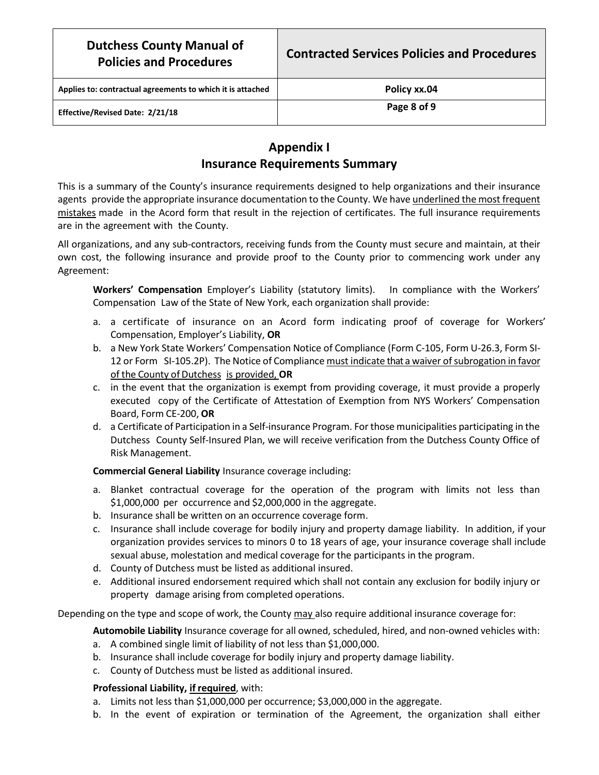**Applies to: contractual agreements to which it is attached Policy xx.04**

**Effective/Revised Date: 2/21/18 Page 8 of 9**

# **Appendix I Insurance Requirements Summary**

This is a summary of the County's insurance requirements designed to help organizations and their insurance agents provide the appropriate insurance documentation to the County. We have underlined the most frequent mistakes made in the Acord form that result in the rejection of certificates. The full insurance requirements are in the agreement with the County.

All organizations, and any sub-contractors, receiving funds from the County must secure and maintain, at their own cost, the following insurance and provide proof to the County prior to commencing work under any Agreement:

**Workers' Compensation** Employer's Liability (statutory limits). In compliance with the Workers' Compensation Law of the State of New York, each organization shall provide:

- a. a certificate of insurance on an Acord form indicating proof of coverage for Workers' Compensation, Employer's Liability, **OR**
- b. a New York State Workers' Compensation Notice of Compliance (Form C-105, Form U-26.3, Form SI-12 or Form SI-105.2P). The Notice of Compliance must indicate that a waiver of subrogation in favor of the County of Dutchess is provided, **OR**
- c. in the event that the organization is exempt from providing coverage, it must provide a properly executed copy of the Certificate of Attestation of Exemption from NYS Workers' Compensation Board, Form CE-200, **OR**
- d. a Certificate of Participation in a Self-insurance Program. Forthose municipalities participating in the Dutchess County Self-Insured Plan, we will receive verification from the Dutchess County Office of Risk Management.

**Commercial General Liability** Insurance coverage including:

- a. Blanket contractual coverage for the operation of the program with limits not less than \$1,000,000 per occurrence and \$2,000,000 in the aggregate.
- b. Insurance shall be written on an occurrence coverage form.
- c. Insurance shall include coverage for bodily injury and property damage liability. In addition, if your organization provides services to minors 0 to 18 years of age, your insurance coverage shall include sexual abuse, molestation and medical coverage for the participants in the program.
- d. County of Dutchess must be listed as additional insured.
- e. Additional insured endorsement required which shall not contain any exclusion for bodily injury or property damage arising from completed operations.

Depending on the type and scope of work, the County may also require additional insurance coverage for:

**Automobile Liability** Insurance coverage for all owned, scheduled, hired, and non-owned vehicles with:

- a. A combined single limit of liability of not less than \$1,000,000.
- b. Insurance shall include coverage for bodily injury and property damage liability.
- c. County of Dutchess must be listed as additional insured.

### **Professional Liability, if required**, with:

- a. Limits not less than \$1,000,000 per occurrence; \$3,000,000 in the aggregate.
- b. In the event of expiration or termination of the Agreement, the organization shall either